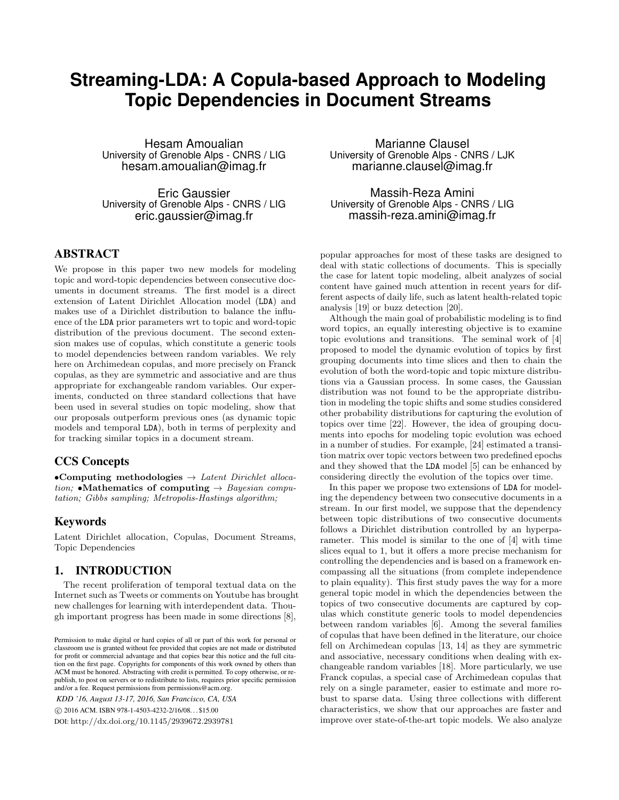# **Streaming-LDA: A Copula-based Approach to Modeling Topic Dependencies in Document Streams**

Hesam Amoualian University of Grenoble Alps - CNRS / LIG hesam.amoualian@imag.fr

Eric Gaussier University of Grenoble Alps - CNRS / LIG eric.gaussier@imag.fr

## ABSTRACT

We propose in this paper two new models for modeling topic and word-topic dependencies between consecutive documents in document streams. The first model is a direct extension of Latent Dirichlet Allocation model (LDA) and makes use of a Dirichlet distribution to balance the influence of the LDA prior parameters wrt to topic and word-topic distribution of the previous document. The second extension makes use of copulas, which constitute a generic tools to model dependencies between random variables. We rely here on Archimedean copulas, and more precisely on Franck copulas, as they are symmetric and associative and are thus appropriate for exchangeable random variables. Our experiments, conducted on three standard collections that have been used in several studies on topic modeling, show that our proposals outperform previous ones (as dynamic topic models and temporal LDA), both in terms of perplexity and for tracking similar topics in a document stream.

# CCS Concepts

•Computing methodologies  $\rightarrow$  Latent Dirichlet allocation; •Mathematics of computing  $\rightarrow$  Bayesian computation; Gibbs sampling; Metropolis-Hastings algorithm;

# Keywords

Latent Dirichlet allocation, Copulas, Document Streams, Topic Dependencies

## 1. INTRODUCTION

The recent proliferation of temporal textual data on the Internet such as Tweets or comments on Youtube has brought new challenges for learning with interdependent data. Though important progress has been made in some directions [8],

*KDD '16, August 13-17, 2016, San Francisco, CA, USA*  $\odot$  2016 ACM. ISBN 978-1-4503-4232-2/16/08 \$15.00

DOI: http://dx.doi.org/10.1145/2939672.2939781

Marianne Clausel University of Grenoble Alps - CNRS / LJK marianne.clausel@imag.fr

Massih-Reza Amini University of Grenoble Alps - CNRS / LIG massih-reza.amini@imag.fr

popular approaches for most of these tasks are designed to deal with static collections of documents. This is specially the case for latent topic modeling, albeit analyzes of social content have gained much attention in recent years for different aspects of daily life, such as latent health-related topic analysis [19] or buzz detection [20].

Although the main goal of probabilistic modeling is to find word topics, an equally interesting objective is to examine topic evolutions and transitions. The seminal work of [4] proposed to model the dynamic evolution of topics by first grouping documents into time slices and then to chain the evolution of both the word-topic and topic mixture distributions via a Gaussian process. In some cases, the Gaussian distribution was not found to be the appropriate distribution in modeling the topic shifts and some studies considered other probability distributions for capturing the evolution of topics over time [22]. However, the idea of grouping documents into epochs for modeling topic evolution was echoed in a number of studies. For example, [24] estimated a transition matrix over topic vectors between two predefined epochs and they showed that the LDA model [5] can be enhanced by considering directly the evolution of the topics over time.

In this paper we propose two extensions of LDA for modeling the dependency between two consecutive documents in a stream. In our first model, we suppose that the dependency between topic distributions of two consecutive documents follows a Dirichlet distribution controlled by an hyperparameter. This model is similar to the one of [4] with time slices equal to 1, but it offers a more precise mechanism for controlling the dependencies and is based on a framework encompassing all the situations (from complete independence to plain equality). This first study paves the way for a more general topic model in which the dependencies between the topics of two consecutive documents are captured by copulas which constitute generic tools to model dependencies between random variables [6]. Among the several families of copulas that have been defined in the literature, our choice fell on Archimedean copulas [13, 14] as they are symmetric and associative, necessary conditions when dealing with exchangeable random variables [18]. More particularly, we use Franck copulas, a special case of Archimedean copulas that rely on a single parameter, easier to estimate and more robust to sparse data. Using three collections with different characteristics, we show that our approaches are faster and improve over state-of-the-art topic models. We also analyze

Permission to make digital or hard copies of all or part of this work for personal or classroom use is granted without fee provided that copies are not made or distributed for profit or commercial advantage and that copies bear this notice and the full citation on the first page. Copyrights for components of this work owned by others than ACM must be honored. Abstracting with credit is permitted. To copy otherwise, or republish, to post on servers or to redistribute to lists, requires prior specific permission and/or a fee. Request permissions from permissions@acm.org.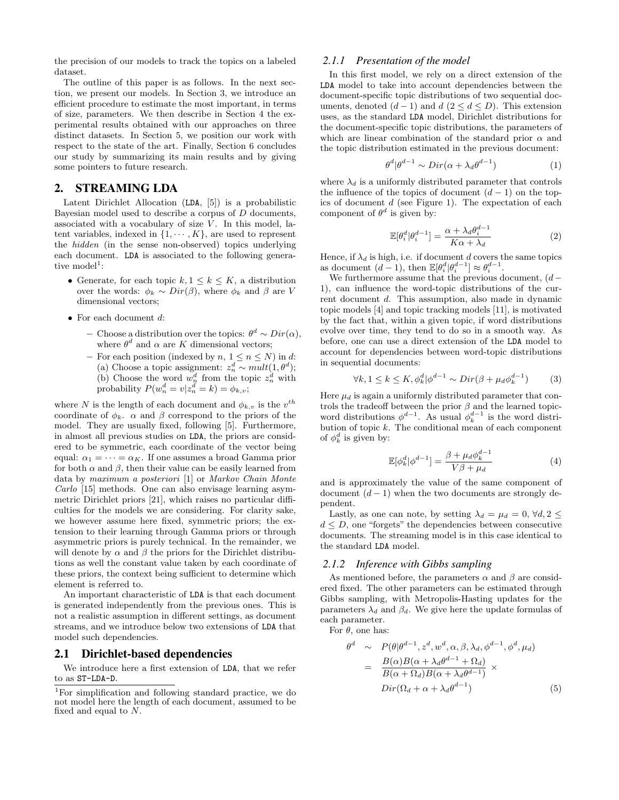the precision of our models to track the topics on a labeled dataset.

The outline of this paper is as follows. In the next section, we present our models. In Section 3, we introduce an efficient procedure to estimate the most important, in terms of size, parameters. We then describe in Section 4 the experimental results obtained with our approaches on three distinct datasets. In Section 5, we position our work with respect to the state of the art. Finally, Section 6 concludes our study by summarizing its main results and by giving some pointers to future research.

## 2. STREAMING LDA

Latent Dirichlet Allocation (LDA, [5]) is a probabilistic Bayesian model used to describe a corpus of D documents, associated with a vocabulary of size  $V$ . In this model, latent variables, indexed in  $\{1, \cdots, K\}$ , are used to represent the hidden (in the sense non-observed) topics underlying each document. LDA is associated to the following generative  $\text{model}^1$ :

- Generate, for each topic  $k, 1 \leq k \leq K$ , a distribution over the words:  $\phi_k \sim Dir(\beta)$ , where  $\phi_k$  and  $\beta$  are V dimensional vectors;
- For each document  $d$ :
	- Choose a distribution over the topics:  $θ<sup>d</sup> ∼ Dir(α)$ , where  $\theta^d$  and  $\alpha$  are K dimensional vectors;
	- For each position (indexed by  $n, 1 \leq n \leq N$ ) in d: (a) Choose a topic assignment:  $z_n^d \sim mult(1, \theta^d);$ (b) Choose the word  $w_n^d$  from the topic  $z_n^d$  with probability  $P(w_n^d = v | z_n^d = k) = \phi_{k,v};$

where N is the length of each document and  $\phi_{k,v}$  is the  $v^{th}$ coordinate of  $\phi_k$ .  $\alpha$  and  $\beta$  correspond to the priors of the model. They are usually fixed, following [5]. Furthermore, in almost all previous studies on LDA, the priors are considered to be symmetric, each coordinate of the vector being equal:  $\alpha_1 = \cdots = \alpha_K$ . If one assumes a broad Gamma prior for both  $\alpha$  and  $\beta$ , then their value can be easily learned from data by maximum a posteriori [1] or Markov Chain Monte Carlo [15] methods. One can also envisage learning asymmetric Dirichlet priors [21], which raises no particular difficulties for the models we are considering. For clarity sake, we however assume here fixed, symmetric priors; the extension to their learning through Gamma priors or through asymmetric priors is purely technical. In the remainder, we will denote by  $\alpha$  and  $\beta$  the priors for the Dirichlet distributions as well the constant value taken by each coordinate of these priors, the context being sufficient to determine which element is referred to.

An important characteristic of LDA is that each document is generated independently from the previous ones. This is not a realistic assumption in different settings, as document streams, and we introduce below two extensions of LDA that model such dependencies.

#### 2.1 Dirichlet-based dependencies

We introduce here a first extension of LDA, that we refer to as ST-LDA-D.

#### *2.1.1 Presentation of the model*

In this first model, we rely on a direct extension of the LDA model to take into account dependencies between the document-specific topic distributions of two sequential documents, denoted  $(d-1)$  and  $d$   $(2 \leq d \leq D)$ . This extension uses, as the standard LDA model, Dirichlet distributions for the document-specific topic distributions, the parameters of which are linear combination of the standard prior  $\alpha$  and the topic distribution estimated in the previous document:

$$
\theta^d | \theta^{d-1} \sim Dir(\alpha + \lambda_d \theta^{d-1}) \tag{1}
$$

where  $\lambda_d$  is a uniformly distributed parameter that controls the influence of the topics of document  $(d-1)$  on the topics of document  $d$  (see Figure 1). The expectation of each component of  $\theta^d$  is given by:

$$
\mathbb{E}[\theta_i^d | \theta_i^{d-1}] = \frac{\alpha + \lambda_d \theta_i^{d-1}}{K\alpha + \lambda_d} \tag{2}
$$

Hence, if  $\lambda_d$  is high, i.e. if document d covers the same topics as document  $(d-1)$ , then  $\mathbb{E}[\theta_i^d | \theta_i^{d-1}] \approx \theta_i^{d-1}$ .

We furthermore assume that the previous document,  $(d-$ 1), can influence the word-topic distributions of the current document d. This assumption, also made in dynamic topic models [4] and topic tracking models [11], is motivated by the fact that, within a given topic, if word distributions evolve over time, they tend to do so in a smooth way. As before, one can use a direct extension of the LDA model to account for dependencies between word-topic distributions in sequential documents:

$$
\forall k, 1 \le k \le K, \phi_k^d | \phi^{d-1} \sim Dir(\beta + \mu_d \phi_k^{d-1}) \tag{3}
$$

Here  $\mu_d$  is again a uniformly distributed parameter that controls the tradeoff between the prior  $\beta$  and the learned topicword distributions  $\phi^{d-1}$ . As usual  $\phi_k^{d-1}$  is the word distribution of topic  $k$ . The conditional mean of each component of  $\phi_k^d$  is given by:

$$
\mathbb{E}[\phi_k^d | \phi^{d-1}] = \frac{\beta + \mu_d \phi_k^{d-1}}{V\beta + \mu_d} \tag{4}
$$

and is approximately the value of the same component of document  $(d-1)$  when the two documents are strongly dependent.

Lastly, as one can note, by setting  $\lambda_d = \mu_d = 0, \forall d, 2 \leq$  $d \leq D$ , one "forgets" the dependencies between consecutive documents. The streaming model is in this case identical to the standard LDA model.

#### *2.1.2 Inference with Gibbs sampling*

As mentioned before, the parameters  $\alpha$  and  $\beta$  are considered fixed. The other parameters can be estimated through Gibbs sampling, with Metropolis-Hasting updates for the parameters  $\lambda_d$  and  $\beta_d$ . We give here the update formulas of each parameter.

For  $θ$ , one has:

θ

$$
P(\theta|\theta^{d-1}, z^d, w^d, \alpha, \beta, \lambda_d, \phi^{d-1}, \phi^d, \mu_d)
$$
  
= 
$$
\frac{B(\alpha)B(\alpha + \lambda_d \theta^{d-1} + \Omega_d)}{B(\alpha + \Omega_d)B(\alpha + \lambda_d \theta^{d-1})} \times
$$
  

$$
Dir(\Omega_d + \alpha + \lambda_d \theta^{d-1})
$$
 (5)

<sup>1</sup>For simplification and following standard practice, we do not model here the length of each document, assumed to be fixed and equal to N.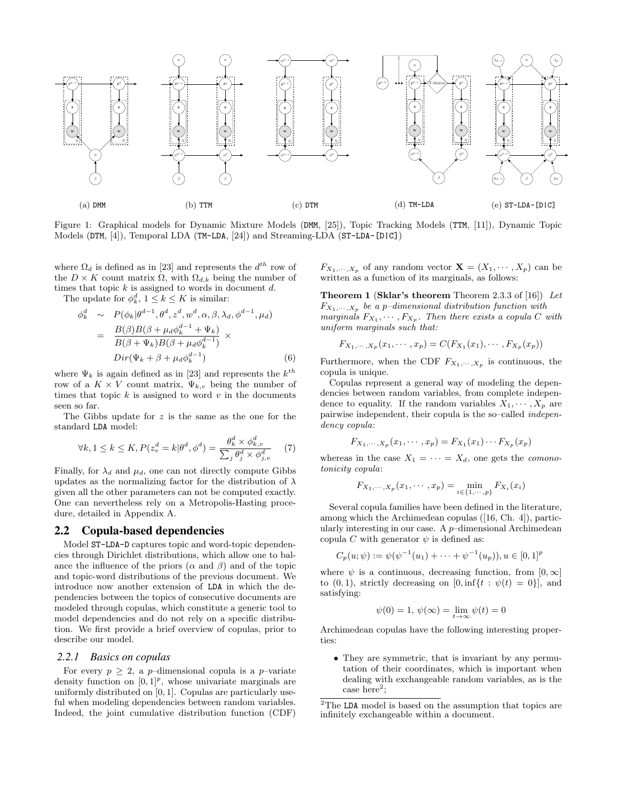

Figure 1: Graphical models for Dynamic Mixture Models (DMM, [25]), Topic Tracking Models (TTM, [11]), Dynamic Topic Models (DTM, [4]), Temporal LDA (TM-LDA, [24]) and Streaming-LDA (ST-LDA-[D|C])

where  $\Omega_d$  is defined as in [23] and represents the  $d^{th}$  row of the  $D \times K$  count matrix  $\Omega$ , with  $\Omega_{d,k}$  being the number of times that topic  $k$  is assigned to words in document  $d$ .

The update for  $\phi_k^d$ ,  $1 \leq k \leq K$  is similar:

$$
\phi_k^d \sim P(\phi_k|\theta^{d-1}, \theta^d, z^d, w^d, \alpha, \beta, \lambda_d, \phi^{d-1}, \mu_d)
$$
  
= 
$$
\frac{B(\beta)B(\beta + \mu_d\phi_k^{d-1} + \Psi_k)}{B(\beta + \Psi_k)B(\beta + \mu_d\phi_k^{d-1})} \times
$$
  

$$
Dir(\Psi_k + \beta + \mu_d\phi_k^{d-1})
$$
 (6)

where  $\Psi_k$  is again defined as in [23] and represents the  $k^{th}$ row of a  $K \times V$  count matrix,  $\Psi_{k,v}$  being the number of times that topic  $k$  is assigned to word  $v$  in the documents seen so far.

The Gibbs update for  $z$  is the same as the one for the standard LDA model:

$$
\forall k, 1 \le k \le K, P(z_v^d = k | \theta^d, \phi^d) = \frac{\theta_k^d \times \phi_{k,v}^d}{\sum_j \theta_j^d \times \phi_{j,v}^d} \tag{7}
$$

Finally, for  $\lambda_d$  and  $\mu_d$ , one can not directly compute Gibbs updates as the normalizing factor for the distribution of  $\lambda$ given all the other parameters can not be computed exactly. One can nevertheless rely on a Metropolis-Hasting procedure, detailed in Appendix A.

#### 2.2 Copula-based dependencies

Model ST-LDA-D captures topic and word-topic dependencies through Dirichlet distributions, which allow one to balance the influence of the priors  $(\alpha \text{ and } \beta)$  and of the topic and topic-word distributions of the previous document. We introduce now another extension of LDA in which the dependencies between the topics of consecutive documents are modeled through copulas, which constitute a generic tool to model dependencies and do not rely on a specific distribution. We first provide a brief overview of copulas, prior to describe our model.

#### *2.2.1 Basics on copulas*

For every  $p \geq 2$ , a p-dimensional copula is a p-variate density function on  $[0,1]^p$ , whose univariate marginals are uniformly distributed on [0, 1]. Copulas are particularly useful when modeling dependencies between random variables. Indeed, the joint cumulative distribution function (CDF)

 $F_{X_1,\dots,X_p}$  of any random vector  $\mathbf{X} = (X_1,\dots,X_p)$  can be written as a function of its marginals, as follows:

Theorem 1 (Sklar's theorem Theorem 2.3.3 of [16]) Let  $F_{X_1,\dots,X_n}$  be a p-dimensional distribution function with marginals  $F_{X_1}, \cdots, F_{X_p}$ . Then there exists a copula C with uniform marginals such that:

$$
F_{X_1, \cdots, X_p}(x_1, \cdots, x_p) = C(F_{X_1}(x_1), \cdots, F_{X_p}(x_p))
$$

Furthermore, when the CDF  $F_{X_1,\dots,X_p}$  is continuous, the copula is unique.

Copulas represent a general way of modeling the dependencies between random variables, from complete independence to equality. If the random variables  $X_1, \dots, X_p$  are pairwise independent, their copula is the so–called independency copula:

$$
F_{X_1,\dots,X_p}(x_1,\dots,x_p)=F_{X_1}(x_1)\dots F_{X_p}(x_p)
$$

whereas in the case  $X_1 = \cdots = X_d$ , one gets the *comono*tonicity copula:

$$
F_{X_1, \dots, X_p}(x_1, \dots, x_p) = \min_{i \in \{1, \dots, p\}} F_{X_i}(x_i)
$$

Several copula families have been defined in the literature, among which the Archimedean copulas ([16, Ch. 4]), particularly interesting in our case. A  $p$ -dimensional Archimedean copula C with generator  $\psi$  is defined as:

$$
C_p(u; \psi) := \psi(\psi^{-1}(u_1) + \dots + \psi^{-1}(u_p)), u \in [0, 1]^p
$$

where  $\psi$  is a continuous, decreasing function, from  $[0, \infty]$ to  $(0, 1)$ , strictly decreasing on  $[0, inf\{t : \psi(t) = 0\}]$ , and satisfying:

$$
\psi(0) = 1, \, \psi(\infty) = \lim_{t \to \infty} \psi(t) = 0
$$

Archimedean copulas have the following interesting properties:

• They are symmetric, that is invariant by any permutation of their coordinates, which is important when dealing with exchangeable random variables, as is the  $case here<sup>2</sup>;$ 

<sup>&</sup>lt;sup>2</sup>The LDA model is based on the assumption that topics are infinitely exchangeable within a document.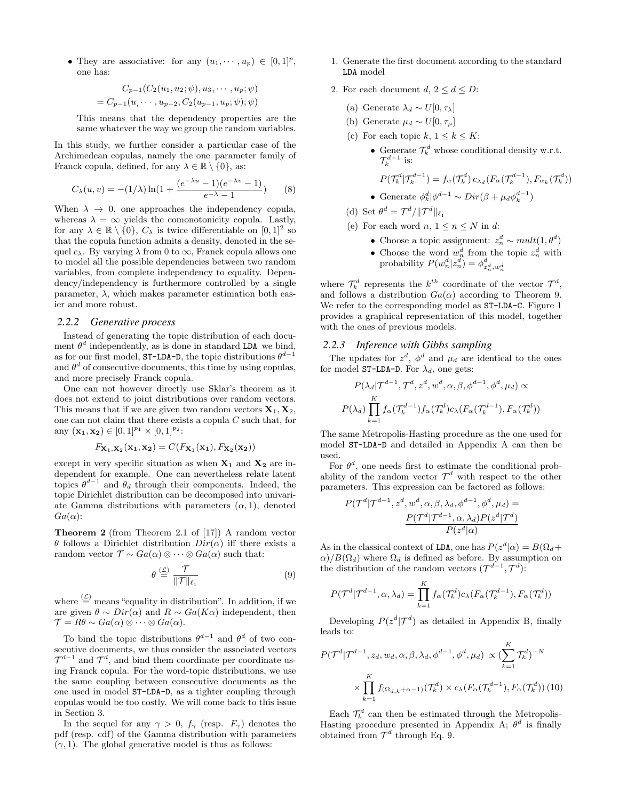• They are associative: for any  $(u_1, \dots, u_p) \in [0,1]^p$ , one has:

$$
C_{p-1}(C_2(u_1, u_2; \psi), u_3, \cdots, u_p; \psi)
$$
  
=  $C_{p-1}(u, \cdots, u_{p-2}, C_2(u_{p-1}, u_p; \psi); \psi)$ 

This means that the dependency properties are the same whatever the way we group the random variables.

In this study, we further consider a particular case of the Archimedean copulas, namely the one–parameter family of Franck copula, defined, for any  $\lambda \in \mathbb{R} \setminus \{0\}$ , as:

$$
C_{\lambda}(u,v) = -(1/\lambda)\ln(1 + \frac{(e^{-\lambda u} - 1)(e^{-\lambda v} - 1)}{e^{-\lambda} - 1})
$$
 (8)

When  $\lambda \rightarrow 0$ , one approaches the independency copula, whereas  $\lambda = \infty$  yields the comonotonicity copula. Lastly, for any  $\lambda \in \mathbb{R} \setminus \{0\}$ ,  $C_{\lambda}$  is twice differentiable on  $[0,1]^2$  so that the copula function admits a density, denoted in the sequel  $c_{\lambda}$ . By varying  $\lambda$  from 0 to  $\infty$ , Franck copula allows one to model all the possible dependencies between two random variables, from complete independency to equality. Dependency/independency is furthermore controlled by a single parameter,  $\lambda$ , which makes parameter estimation both easier and more robust.

#### *2.2.2 Generative process*

Instead of generating the topic distribution of each document  $\theta^d$  independently, as is done in standard LDA we bind, as for our first model, **ST-LDA-D**, the topic distributions  $\theta^{d-1}$ and  $\theta^d$  of consecutive documents, this time by using copulas, and more precisely Franck copula.

One can not however directly use Sklar's theorem as it does not extend to joint distributions over random vectors. This means that if we are given two random vectors  $X_1, X_2$ , one can not claim that there exists a copula C such that, for any  $(\mathbf{x_1}, \mathbf{x_2}) \in [0, 1]^{p_1} \times [0, 1]^{p_2}$ :

$$
F_{\mathbf{X}_1,\mathbf{X}_2}(\mathbf{x}_1,\mathbf{x}_2) = C(F_{\mathbf{X}_1}(\mathbf{x}_1), F_{\mathbf{X}_2}(\mathbf{x}_2))
$$

except in very specific situation as when  $X_1$  and  $X_2$  are independent for example. One can nevertheless relate latent topics  $\theta^{d-1}$  and  $\theta_d$  through their components. Indeed, the topic Dirichlet distribution can be decomposed into univariate Gamma distributions with parameters  $(\alpha, 1)$ , denoted  $Ga(\alpha)$ :

Theorem 2 (from Theorem 2.1 of [17]) A random vector θ follows a Dirichlet distribution Dir(α) iff there exists a random vector  $\mathcal{T} \sim Ga(\alpha) \otimes \cdots \otimes Ga(\alpha)$  such that:

$$
\theta \stackrel{\text{(L)}}{=} \frac{\mathcal{T}}{\|\mathcal{T}\|_{\ell_1}}\tag{9}
$$

where  $\frac{(\mathcal{L})}{n}$  means "equality in distribution". In addition, if we are given  $\theta \sim Dir(\alpha)$  and  $R \sim Ga(K\alpha)$  independent, then  $\mathcal{T} = R\theta \sim Ga(\alpha) \otimes \cdots \otimes Ga(\alpha).$ 

To bind the topic distributions  $\theta^{d-1}$  and  $\theta^d$  of two consecutive documents, we thus consider the associated vectors  $\mathcal{T}^{d-1}$  and  $\mathcal{T}^d$ , and bind them coordinate per coordinate using Franck copula. For the word-topic distributions, we use the same coupling between consecutive documents as the one used in model ST-LDA-D, as a tighter coupling through copulas would be too costly. We will come back to this issue in Section 3.

In the sequel for any  $\gamma > 0$ ,  $f_{\gamma}$  (resp.  $F_{\gamma}$ ) denotes the pdf (resp. cdf) of the Gamma distribution with parameters  $(\gamma, 1)$ . The global generative model is thus as follows:

- 1. Generate the first document according to the standard LDA model
- 2. For each document  $d, 2 \leq d \leq D$ :
	- (a) Generate  $\lambda_d \sim U[0, \tau_\lambda]$
	- (b) Generate  $\mu_d \sim U[0, \tau_\mu]$
	- (c) For each topic k,  $1 \leq k \leq K$ :
		- Generate  $\mathcal{T}_k^d$  whose conditional density w.r.t.  $\mathcal{T}_k^{d-1}$  is:

$$
P(\mathcal{T}_k^d | \mathcal{T}_k^{d-1}) = f_\alpha(\mathcal{T}_k^d) c_{\lambda_d}(F_\alpha(\mathcal{T}_k^{d-1}), F_{\alpha_k}(\mathcal{T}_k^d))
$$

• Generate 
$$
\phi_k^d | \phi^{d-1} \sim Dir(\beta + \mu_d \phi_k^{d-1})
$$

- (d) Set  $\theta^d = \mathcal{T}^d / ||\mathcal{T}^d||_{\ell_1}$
- (e) For each word  $n, 1 \leq n \leq N$  in d:
	- Choose a topic assignment:  $z_n^d \sim mult(1, \theta^d)$
	- Choose the word  $w_n^d$  from the topic  $z_n^d$  with probability  $P(w_n^d | z_n^d) = \phi_{z_n^d, w_n^d}^d$

where  $\mathcal{T}_k^d$  represents the  $k^{th}$  coordinate of the vector  $\mathcal{T}^d$ , and follows a distribution  $Ga(\alpha)$  according to Theorem 9. We refer to the corresponding model as ST-LDA-C. Figure 1 provides a graphical representation of this model, together with the ones of previous models.

### *2.2.3 Inference with Gibbs sampling*

The updates for  $z^d$ ,  $\phi^d$  and  $\mu_d$  are identical to the ones for model ST-LDA-D. For  $\lambda_d$ , one gets:

$$
P(\lambda_d | \mathcal{T}^{d-1}, \mathcal{T}^d, z^d, w^d, \alpha, \beta, \phi^{d-1}, \phi^d, \mu_d) \propto
$$
  

$$
P(\lambda_d) \prod_{k=1}^K f_\alpha(\mathcal{T}_k^{d-1}) f_\alpha(\mathcal{T}_k^d) c_\lambda(F_\alpha(\mathcal{T}_k^{d-1}), F_\alpha(\mathcal{T}_k^d))
$$

The same Metropolis-Hasting procedure as the one used for model ST-LDA-D and detailed in Appendix A can then be used.

For  $\theta^d$ , one needs first to estimate the conditional probability of the random vector  $\mathcal{T}^d$  with respect to the other parameters. This expression can be factored as follows:

$$
P(\mathcal{T}^d | \mathcal{T}^{d-1}, z^d, w^d, \alpha, \beta, \lambda_d, \phi^{d-1}, \phi^d, \mu_d) = \frac{P(\mathcal{T}^d | \mathcal{T}^{d-1}, \alpha, \lambda_d) P(z^d | \mathcal{T}^d)}{P(z^d | \alpha)}
$$

As in the classical context of LDA, one has  $P(z^d|\alpha) = B(\Omega_d +$  $\alpha$ / $B(\Omega_d)$  where  $\Omega_d$  is defined as before. By assumption on the distribution of the random vectors  $(\mathcal{T}^{d-1}, \mathcal{T}^d)$ :

$$
P(\mathcal{T}^d | \mathcal{T}^{d-1}, \alpha, \lambda_d) = \prod_{k=1}^K f_\alpha(\mathcal{T}_k^d) c_\lambda(F_\alpha(\mathcal{T}_k^{d-1}), F_\alpha(\mathcal{T}_k^d))
$$

Developing  $P(z^d | \mathcal{T}^d)$  as detailed in Appendix B, finally leads to:

$$
P(\mathcal{T}^d | \mathcal{T}^{d-1}, z_d, w_d, \alpha, \beta, \lambda_d, \phi^{d-1}, \phi^d, \mu_d) \propto (\sum_{k=1}^K \mathcal{T}_k^d)^{-N}
$$

$$
\times \prod_{k=1}^K f_{(\Omega_{d,k} + \alpha - 1)}(\mathcal{T}_k^d) \times c_\lambda(F_\alpha(\mathcal{T}_k^{d-1}), F_\alpha(\mathcal{T}_k^d)) \tag{10}
$$

Each  $\mathcal{T}_k^d$  can then be estimated through the Metropolis-Hasting procedure presented in Appendix A;  $\theta^d$  is finally obtained from  $\mathcal{T}^d$  through Eq. 9.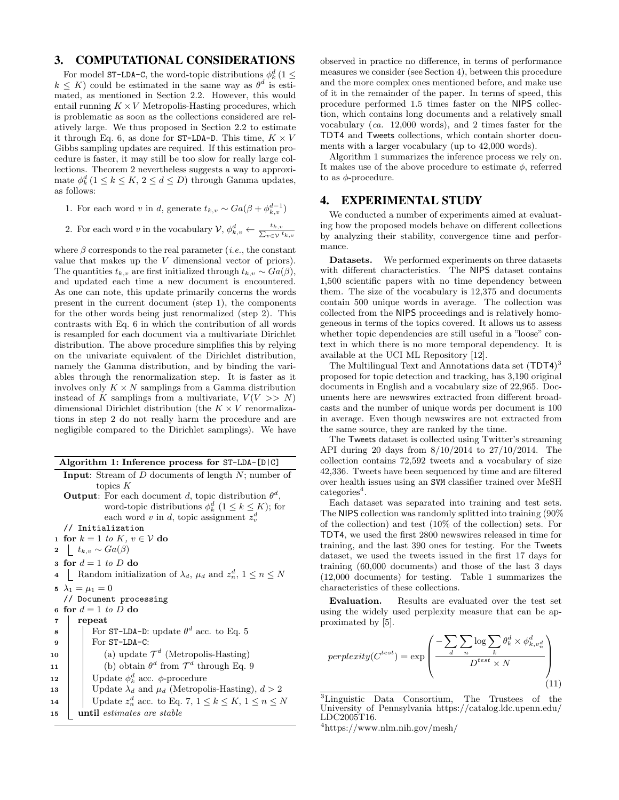# 3. COMPUTATIONAL CONSIDERATIONS

For model ST-LDA-C, the word-topic distributions  $\phi_k^d$  (1  $\leq$  $k \leq K$ ) could be estimated in the same way as  $\theta^d$  is estimated, as mentioned in Section 2.2. However, this would entail running  $K \times V$  Metropolis-Hasting procedures, which is problematic as soon as the collections considered are relatively large. We thus proposed in Section 2.2 to estimate it through Eq. 6, as done for ST-LDA-D. This time,  $K \times V$ Gibbs sampling updates are required. If this estimation procedure is faster, it may still be too slow for really large collections. Theorem 2 nevertheless suggests a way to approximate  $\phi_k^d$   $(1 \leq k \leq K, 2 \leq d \leq D)$  through Gamma updates, as follows:

- 1. For each word v in d, generate  $t_{k,v} \sim Ga(\beta + \phi_{k,v}^{d-1})$
- 2. For each word v in the vocabulary  $\mathcal{V}, \phi_{k,v}^d \leftarrow \frac{t_{k,v}}{\sum_{v \in \mathcal{V}} t_v}$  $v \in \mathcal{V}$ <sup>t</sup>k,v

where  $\beta$  corresponds to the real parameter (*i.e.*, the constant value that makes up the V dimensional vector of priors). The quantities  $t_{k,v}$  are first initialized through  $t_{k,v} \sim Ga(\beta)$ , and updated each time a new document is encountered. As one can note, this update primarily concerns the words present in the current document (step 1), the components for the other words being just renormalized (step 2). This contrasts with Eq. 6 in which the contribution of all words is resampled for each document via a multivariate Dirichlet distribution. The above procedure simplifies this by relying on the univariate equivalent of the Dirichlet distribution, namely the Gamma distribution, and by binding the variables through the renormalization step. It is faster as it involves only  $K \times N$  samplings from a Gamma distribution instead of K samplings from a multivariate,  $V(V >> N)$ dimensional Dirichlet distribution (the  $K \times V$  renormalizations in step 2 do not really harm the procedure and are negligible compared to the Dirichlet samplings). We have

| Algorithm 1: Inference process for $ST-LDA-[D C]$                                                    |  |  |  |  |  |
|------------------------------------------------------------------------------------------------------|--|--|--|--|--|
| <b>Input:</b> Stream of D documents of length $N$ ; number of                                        |  |  |  |  |  |
| topics $K$                                                                                           |  |  |  |  |  |
| <b>Output</b> : For each document d, topic distribution $\theta^d$ ,                                 |  |  |  |  |  |
| word-topic distributions $\phi_k^d$ $(1 \leq k \leq K)$ ; for                                        |  |  |  |  |  |
| each word v in d, topic assignment $z_v^d$                                                           |  |  |  |  |  |
| // Initialization                                                                                    |  |  |  |  |  |
| 1 for $k = 1$ to K, $v \in V$ do                                                                     |  |  |  |  |  |
| 2 $t_{k,v} \sim Ga(\beta)$                                                                           |  |  |  |  |  |
| a for $d = 1$ to D do                                                                                |  |  |  |  |  |
| Random initialization of $\lambda_d$ , $\mu_d$ and $z_n^d$ , $1 \leq n \leq N$<br>$\overline{\bf 4}$ |  |  |  |  |  |
| 5 $\lambda_1 = \mu_1 = 0$                                                                            |  |  |  |  |  |
| // Document processing                                                                               |  |  |  |  |  |
| 6 for $d=1$ to D do                                                                                  |  |  |  |  |  |
| repeat<br>$\overline{7}$                                                                             |  |  |  |  |  |
| For ST-LDA-D: update $\theta^d$ acc. to Eq. 5<br>8                                                   |  |  |  |  |  |
| For ST-LDA-C:<br>9                                                                                   |  |  |  |  |  |
| (a) update $\mathcal{T}^d$ (Metropolis-Hasting)<br>10                                                |  |  |  |  |  |
| (b) obtain $\theta^d$ from $\mathcal{T}^d$ through Eq. 9<br>11                                       |  |  |  |  |  |
| Update $\phi_k^d$ acc. $\phi$ -procedure<br>12                                                       |  |  |  |  |  |
| Update $\lambda_d$ and $\mu_d$ (Metropolis-Hasting), $d > 2$<br>13                                   |  |  |  |  |  |
| Update $z_n^d$ acc. to Eq. 7, $1 \leq k \leq K$ , $1 \leq n \leq N$<br>14                            |  |  |  |  |  |
| <b>until</b> estimates are stable<br>15                                                              |  |  |  |  |  |

observed in practice no difference, in terms of performance measures we consider (see Section 4), between this procedure and the more complex ones mentioned before, and make use of it in the remainder of the paper. In terms of speed, this procedure performed 1.5 times faster on the NIPS collection, which contains long documents and a relatively small vocabulary (ca. 12,000 words), and 2 times faster for the TDT4 and Tweets collections, which contain shorter documents with a larger vocabulary (up to 42,000 words).

Algorithm 1 summarizes the inference process we rely on. It makes use of the above procedure to estimate  $\phi$ , referred to as  $\phi$ -procedure.

# 4. EXPERIMENTAL STUDY

We conducted a number of experiments aimed at evaluating how the proposed models behave on different collections by analyzing their stability, convergence time and performance.

Datasets. We performed experiments on three datasets with different characteristics. The NIPS dataset contains 1,500 scientific papers with no time dependency between them. The size of the vocabulary is 12,375 and documents contain 500 unique words in average. The collection was collected from the NIPS proceedings and is relatively homogeneous in terms of the topics covered. It allows us to assess whether topic dependencies are still useful in a "loose" context in which there is no more temporal dependency. It is available at the UCI ML Repository [12].

The Multilingual Text and Annotations data set (TDT4)<sup>3</sup> proposed for topic detection and tracking, has 3,190 original documents in English and a vocabulary size of 22,965. Documents here are newswires extracted from different broadcasts and the number of unique words per document is 100 in average. Even though newswires are not extracted from the same source, they are ranked by the time.

The Tweets dataset is collected using Twitter's streaming API during 20 days from 8/10/2014 to 27/10/2014. The collection contains 72,592 tweets and a vocabulary of size 42,336. Tweets have been sequenced by time and are filtered over health issues using an SVM classifier trained over MeSH  $\alpha$  categories<sup>4</sup>.

Each dataset was separated into training and test sets. The NIPS collection was randomly splitted into training (90% of the collection) and test (10% of the collection) sets. For TDT4, we used the first 2800 newswires released in time for training, and the last 390 ones for testing. For the Tweets dataset, we used the tweets issued in the first 17 days for training (60,000 documents) and those of the last 3 days (12,000 documents) for testing. Table 1 summarizes the characteristics of these collections.

Evaluation. Results are evaluated over the test set using the widely used perplexity measure that can be approximated by [5].

$$
perplexity(C^{test}) = \exp\left(\frac{-\sum_{d} \sum_{n} \log \sum_{k} \theta_{k}^{d} \times \phi_{k,v_{n}^{d}}^{d}}{D^{test} \times N}\right)
$$
\n(11)

<sup>3</sup>Linguistic Data Consortium, The Trustees of the University of Pennsylvania https://catalog.ldc.upenn.edu/ LDC2005T16.

<sup>4</sup>https://www.nlm.nih.gov/mesh/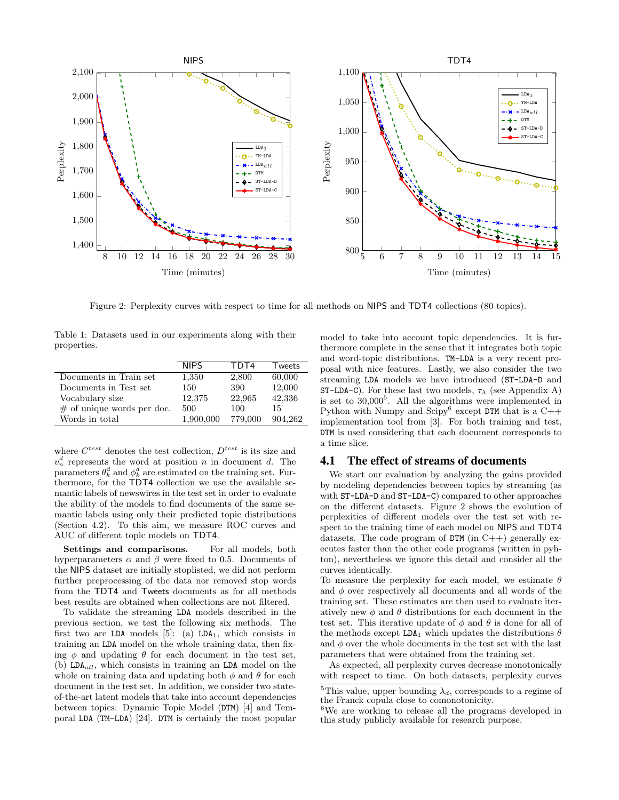

Figure 2: Perplexity curves with respect to time for all methods on NIPS and TDT4 collections (80 topics).

Table 1: Datasets used in our experiments along with their properties.

|                               | <b>NIPS</b> | TDT4    | Tweets  |
|-------------------------------|-------------|---------|---------|
| Documents in Train set        | 1,350       | 2,800   | 60,000  |
| Documents in Test set         | 150         | 390     | 12,000  |
| Vocabulary size               | 12,375      | 22,965  | 42,336  |
| $\#$ of unique words per doc. | 500         | 100     | 15      |
| Words in total                | 1,900,000   | 779,000 | 904.262 |

where  $C^{test}$  denotes the test collection,  $D^{test}$  is its size and  $v_n^d$  represents the word at position n in document d. The parameters  $\theta_k^d$  and  $\phi_k^d$  are estimated on the training set. Furthermore, for the TDT4 collection we use the available semantic labels of newswires in the test set in order to evaluate the ability of the models to find documents of the same semantic labels using only their predicted topic distributions (Section 4.2). To this aim, we measure ROC curves and AUC of different topic models on TDT4.

Settings and comparisons. For all models, both hyperparameters  $\alpha$  and  $\beta$  were fixed to 0.5. Documents of the NIPS dataset are initially stoplisted, we did not perform further preprocessing of the data nor removed stop words from the TDT4 and Tweets documents as for all methods best results are obtained when collections are not filtered.

To validate the streaming LDA models described in the previous section, we test the following six methods. The first two are LDA models  $[5]$ : (a) LDA<sub>1</sub>, which consists in training an LDA model on the whole training data, then fixing  $\phi$  and updating  $\theta$  for each document in the test set, (b)  $LDA_{all}$ , which consists in training an LDA model on the whole on training data and updating both  $\phi$  and  $\theta$  for each document in the test set. In addition, we consider two stateof-the-art latent models that take into account dependencies between topics: Dynamic Topic Model (DTM) [4] and Temporal LDA (TM-LDA) [24]. DTM is certainly the most popular

model to take into account topic dependencies. It is furthermore complete in the sense that it integrates both topic and word-topic distributions. TM-LDA is a very recent proposal with nice features. Lastly, we also consider the two streaming LDA models we have introduced (ST-LDA-D and ST-LDA-C). For these last two models,  $\tau_{\lambda}$  (see Appendix A) is set to  $30,000^5$ . All the algorithms were implemented in Python with Numpy and  $Scipy^6$  except DTM that is a C++ implementation tool from [3]. For both training and test, DTM is used considering that each document corresponds to a time slice.

## 4.1 The effect of streams of documents

We start our evaluation by analyzing the gains provided by modeling dependencies between topics by streaming (as with ST-LDA-D and ST-LDA-C) compared to other approaches on the different datasets. Figure 2 shows the evolution of perplexities of different models over the test set with respect to the training time of each model on NIPS and TDT4 datasets. The code program of  $DTM$  (in  $C++$ ) generally executes faster than the other code programs (written in pyhton), nevertheless we ignore this detail and consider all the curves identically.

To measure the perplexity for each model, we estimate  $\theta$ and  $\phi$  over respectively all documents and all words of the training set. These estimates are then used to evaluate iteratively new  $\phi$  and  $\theta$  distributions for each document in the test set. This iterative update of  $\phi$  and  $\theta$  is done for all of the methods except LDA<sub>1</sub> which updates the distributions  $\theta$ and  $\phi$  over the whole documents in the test set with the last parameters that were obtained from the training set.

As expected, all perplexity curves decrease monotonically with respect to time. On both datasets, perplexity curves

<sup>&</sup>lt;sup>5</sup>This value, upper bounding  $\lambda_d$ , corresponds to a regime of the Franck copula close to comonotonicity.

<sup>6</sup>We are working to release all the programs developed in this study publicly available for research purpose.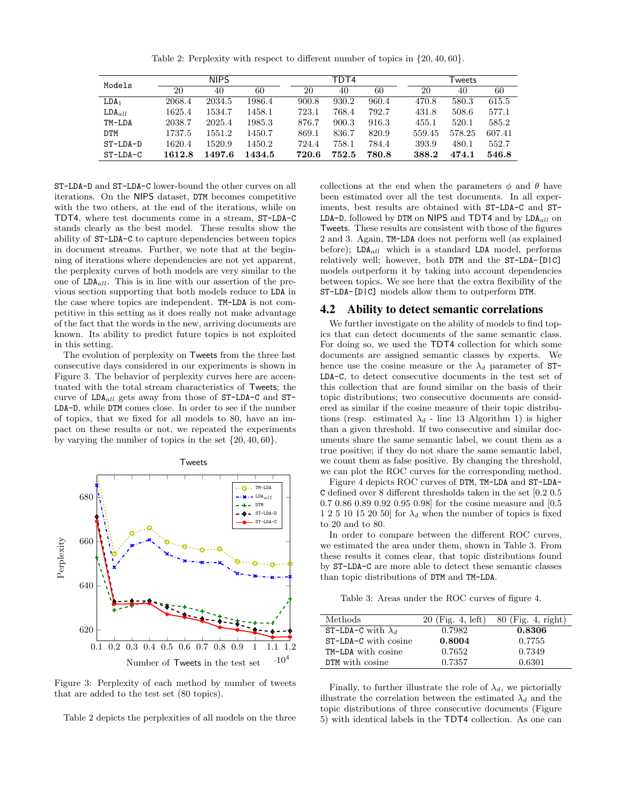| <b>NIPS</b><br>Models |        | TDT4   |        |       | weets |       |        |        |        |
|-----------------------|--------|--------|--------|-------|-------|-------|--------|--------|--------|
|                       | 20     | 40     | 60     | 20    | 40    | 60    | 20     | 40     | 60     |
| LDA <sub>1</sub>      | 2068.4 | 2034.5 | 1986.4 | 900.8 | 930.2 | 960.4 | 470.8  | 580.3  | 615.5  |
| $LDA_{all}$           | 1625.4 | 1534.7 | 1458.1 | 723.1 | 768.4 | 792.7 | 431.8  | 508.6  | 577.1  |
| TM-LDA                | 2038.7 | 2025.4 | 1985.3 | 876.7 | 900.3 | 916.3 | 455.1  | 520.1  | 585.2  |
| <b>DTM</b>            | 1737.5 | 1551.2 | 1450.7 | 869.1 | 836.7 | 820.9 | 559.45 | 578.25 | 607.41 |
| $ST-LDA-D$            | 1620.4 | 1520.9 | 1450.2 | 724.4 | 758.1 | 784.4 | 393.9  | 480.1  | 552.7  |
| $ST-LDA-C$            | 1612.8 | 1497.6 | 1434.5 | 720.6 | 752.5 | 780.8 | 388.2  | 474.1  | 546.8  |

Table 2: Perplexity with respect to different number of topics in {20, 40, 60}.

ST-LDA-D and ST-LDA-C lower-bound the other curves on all iterations. On the NIPS dataset, DTM becomes competitive with the two others, at the end of the iterations, while on TDT4, where test documents come in a stream, ST-LDA-C stands clearly as the best model. These results show the ability of ST-LDA-C to capture dependencies between topics in document streams. Further, we note that at the beginning of iterations where dependencies are not yet apparent, the perplexity curves of both models are very similar to the one of  $LDA_{all}$ . This is in line with our assertion of the previous section supporting that both models reduce to LDA in the case where topics are independent. TM-LDA is not competitive in this setting as it does really not make advantage of the fact that the words in the new, arriving documents are known. Its ability to predict future topics is not exploited in this setting.

The evolution of perplexity on Tweets from the three last consecutive days considered in our experiments is shown in Figure 3. The behavior of perplexity curves here are accentuated with the total stream characteristics of Tweets; the curve of  $LDA_{all}$  gets away from those of ST-LDA-C and ST-LDA-D, while DTM comes close. In order to see if the number of topics, that we fixed for all models to 80, have an impact on these results or not, we repeated the experiments by varying the number of topics in the set {20, 40, 60}.



Figure 3: Perplexity of each method by number of tweets that are added to the test set (80 topics).

Table 2 depicts the perplexities of all models on the three

collections at the end when the parameters  $\phi$  and  $\theta$  have been estimated over all the test documents. In all experiments, best results are obtained with ST-LDA-C and ST-LDA-D, followed by DTM on NIPS and TDT4 and by  $LDA_{all}$  on Tweets. These results are consistent with those of the figures 2 and 3. Again, TM-LDA does not perform well (as explained before);  $LDA_{all}$  which is a standard LDA model, performs relatively well; however, both DTM and the ST-LDA-[D|C] models outperform it by taking into account dependencies between topics. We see here that the extra flexibility of the ST-LDA-[D|C] models allow them to outperform DTM.

#### 4.2 Ability to detect semantic correlations

We further investigate on the ability of models to find topics that can detect documents of the same semantic class. For doing so, we used the TDT4 collection for which some documents are assigned semantic classes by experts. We hence use the cosine measure or the  $\lambda_d$  parameter of ST-LDA-C, to detect consecutive documents in the test set of this collection that are found similar on the basis of their topic distributions; two consecutive documents are considered as similar if the cosine measure of their topic distributions (resp. estimated  $\lambda_d$  - line 13 Algorithm 1) is higher than a given threshold. If two consecutive and similar documents share the same semantic label, we count them as a true positive; if they do not share the same semantic label, we count them as false positive. By changing the threshold, we can plot the ROC curves for the corresponding method.

Figure 4 depicts ROC curves of DTM, TM-LDA and ST-LDA-C defined over 8 different thresholds taken in the set [0.2 0.5 0.7 0.86 0.89 0.92 0.95 0.98] for the cosine measure and [0.5 1 2 5 10 15 20 50 for  $\lambda_d$  when the number of topics is fixed to 20 and to 80.

In order to compare between the different ROC curves, we estimated the area under them, shown in Table 3. From these results it comes clear, that topic distributions found by ST-LDA-C are more able to detect these semantic classes than topic distributions of DTM and TM-LDA.

Table 3: Areas under the ROC curves of figure 4.

| Methods                   | $20$ (Fig. 4, left) | $80$ (Fig. 4, right) |
|---------------------------|---------------------|----------------------|
| ST-LDA-C with $\lambda_d$ | 0.7982              | 0.8306               |
| ST-LDA-C with cosine      | 0.8004              | 0.7755               |
| TM-LDA with cosine        | 0.7652              | 0.7349               |
| DTM with cosine           | 0.7357              | 0.6301               |

Finally, to further illustrate the role of  $\lambda_d$ , we pictorially illustrate the correlation between the estimated  $\lambda_d$  and the topic distributions of three consecutive documents (Figure 5) with identical labels in the TDT4 collection. As one can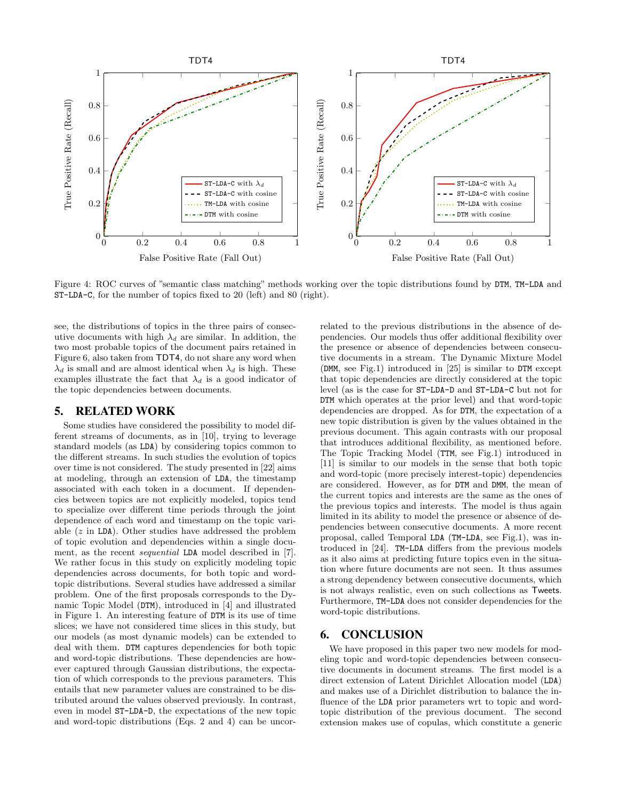

Figure 4: ROC curves of "semantic class matching" methods working over the topic distributions found by DTM, TM-LDA and ST-LDA-C, for the number of topics fixed to 20 (left) and 80 (right).

see, the distributions of topics in the three pairs of consecutive documents with high  $\lambda_d$  are similar. In addition, the two most probable topics of the document pairs retained in Figure 6, also taken from TDT4, do not share any word when  $\lambda_d$  is small and are almost identical when  $\lambda_d$  is high. These examples illustrate the fact that  $\lambda_d$  is a good indicator of the topic dependencies between documents.

# 5. RELATED WORK

Some studies have considered the possibility to model different streams of documents, as in [10], trying to leverage standard models (as LDA) by considering topics common to the different streams. In such studies the evolution of topics over time is not considered. The study presented in [22] aims at modeling, through an extension of LDA, the timestamp associated with each token in a document. If dependencies between topics are not explicitly modeled, topics tend to specialize over different time periods through the joint dependence of each word and timestamp on the topic variable (z in LDA). Other studies have addressed the problem of topic evolution and dependencies within a single document, as the recent *sequential* LDA model described in [7]. We rather focus in this study on explicitly modeling topic dependencies across documents, for both topic and wordtopic distributions. Several studies have addressed a similar problem. One of the first proposals corresponds to the Dynamic Topic Model (DTM), introduced in [4] and illustrated in Figure 1. An interesting feature of DTM is its use of time slices; we have not considered time slices in this study, but our models (as most dynamic models) can be extended to deal with them. DTM captures dependencies for both topic and word-topic distributions. These dependencies are however captured through Gaussian distributions, the expectation of which corresponds to the previous parameters. This entails that new parameter values are constrained to be distributed around the values observed previously. In contrast, even in model ST-LDA-D, the expectations of the new topic and word-topic distributions (Eqs. 2 and 4) can be uncorrelated to the previous distributions in the absence of dependencies. Our models thus offer additional flexibility over the presence or absence of dependencies between consecutive documents in a stream. The Dynamic Mixture Model (DMM, see Fig.1) introduced in [25] is similar to DTM except that topic dependencies are directly considered at the topic level (as is the case for ST-LDA-D and ST-LDA-C but not for DTM which operates at the prior level) and that word-topic dependencies are dropped. As for DTM, the expectation of a new topic distribution is given by the values obtained in the previous document. This again contrasts with our proposal that introduces additional flexibility, as mentioned before. The Topic Tracking Model (TTM, see Fig.1) introduced in [11] is similar to our models in the sense that both topic and word-topic (more precisely interest-topic) dependencies are considered. However, as for DTM and DMM, the mean of the current topics and interests are the same as the ones of the previous topics and interests. The model is thus again limited in its ability to model the presence or absence of dependencies between consecutive documents. A more recent proposal, called Temporal LDA (TM-LDA, see Fig.1), was introduced in [24]. TM-LDA differs from the previous models as it also aims at predicting future topics even in the situation where future documents are not seen. It thus assumes a strong dependency between consecutive documents, which is not always realistic, even on such collections as Tweets. Furthermore, TM-LDA does not consider dependencies for the word-topic distributions.

## 6. CONCLUSION

We have proposed in this paper two new models for modeling topic and word-topic dependencies between consecutive documents in document streams. The first model is a direct extension of Latent Dirichlet Allocation model (LDA) and makes use of a Dirichlet distribution to balance the influence of the LDA prior parameters wrt to topic and wordtopic distribution of the previous document. The second extension makes use of copulas, which constitute a generic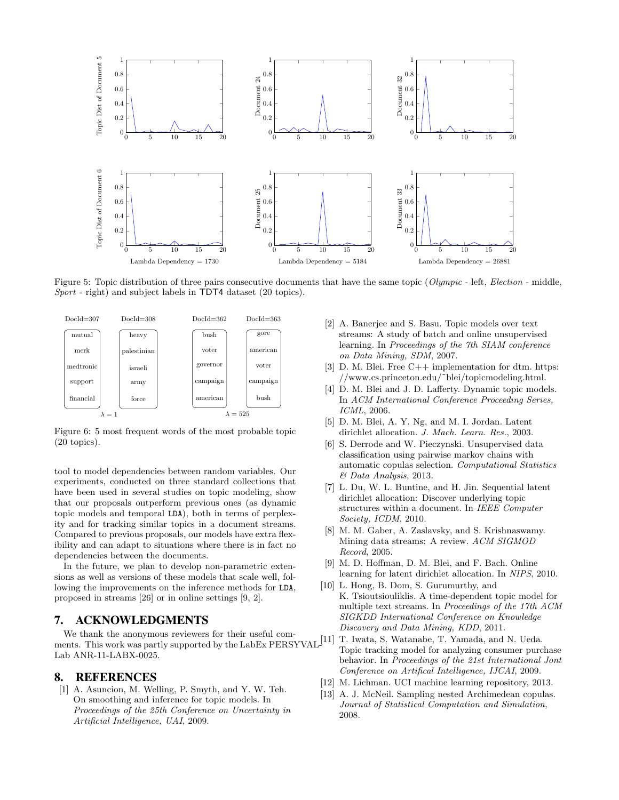

Figure 5: Topic distribution of three pairs consecutive documents that have the same topic (Olympic - left, Election - middle, Sport - right) and subject labels in TDT4 dataset (20 topics).



Figure 6: 5 most frequent words of the most probable topic (20 topics).

tool to model dependencies between random variables. Our experiments, conducted on three standard collections that have been used in several studies on topic modeling, show that our proposals outperform previous ones (as dynamic topic models and temporal LDA), both in terms of perplexity and for tracking similar topics in a document streams. Compared to previous proposals, our models have extra flexibility and can adapt to situations where there is in fact no dependencies between the documents.

In the future, we plan to develop non-parametric extensions as well as versions of these models that scale well, following the improvements on the inference methods for LDA, proposed in streams [26] or in online settings [9, 2].

## 7. ACKNOWLEDGMENTS

We thank the anonymous reviewers for their useful comments. This work was partly supported by the LabEx PERSYVAL-[11] Lab ANR-11-LABX-0025.

# 8. REFERENCES

[1] A. Asuncion, M. Welling, P. Smyth, and Y. W. Teh. On smoothing and inference for topic models. In Proceedings of the 25th Conference on Uncertainty in Artificial Intelligence, UAI, 2009.

- [2] A. Banerjee and S. Basu. Topic models over text streams: A study of batch and online unsupervised learning. In Proceedings of the 7th SIAM conference on Data Mining, SDM, 2007.
- [3] D. M. Blei. Free C++ implementation for dtm. https: //www.cs.princeton.edu/˜blei/topicmodeling.html.
- [4] D. M. Blei and J. D. Lafferty. Dynamic topic models. In ACM International Conference Proceeding Series, ICML, 2006.
- [5] D. M. Blei, A. Y. Ng, and M. I. Jordan. Latent dirichlet allocation. J. Mach. Learn. Res., 2003.
- [6] S. Derrode and W. Pieczynski. Unsupervised data classification using pairwise markov chains with automatic copulas selection. Computational Statistics & Data Analysis, 2013.
- [7] L. Du, W. L. Buntine, and H. Jin. Sequential latent dirichlet allocation: Discover underlying topic structures within a document. In IEEE Computer Society, ICDM, 2010.
- [8] M. M. Gaber, A. Zaslavsky, and S. Krishnaswamy. Mining data streams: A review. ACM SIGMOD Record, 2005.
- [9] M. D. Hoffman, D. M. Blei, and F. Bach. Online learning for latent dirichlet allocation. In NIPS, 2010.
- [10] L. Hong, B. Dom, S. Gurumurthy, and K. Tsioutsiouliklis. A time-dependent topic model for multiple text streams. In Proceedings of the 17th ACM SIGKDD International Conference on Knowledge Discovery and Data Mining, KDD, 2011.
- [11] T. Iwata, S. Watanabe, T. Yamada, and N. Ueda. Topic tracking model for analyzing consumer purchase behavior. In Proceedings of the 21st International Jont Conference on Artifical Intelligence, IJCAI, 2009.
- [12] M. Lichman. UCI machine learning repository, 2013.
- [13] A. J. McNeil. Sampling nested Archimedean copulas. Journal of Statistical Computation and Simulation, 2008.